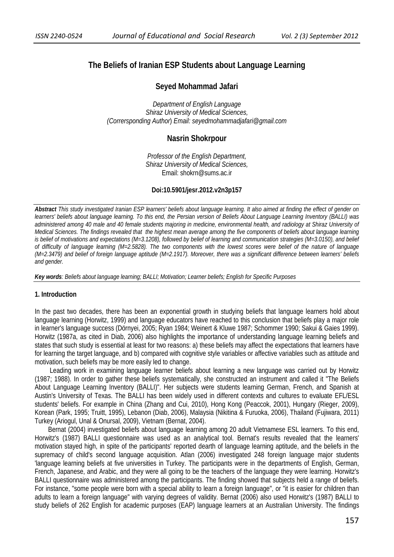# **The Beliefs of Iranian ESP Students about Language Learning**

# **Seyed Mohammad Jafari**

*Department of English Language Shiraz University of Medical Sciences, (Corrersponding Author*) *Email: seyedmohammadjafari@gmail.com* 

# **Nasrin Shokrpour**

*Professor of the English Department, Shiraz University of Medical Sciences,* Email: shokrn@sums.ac.ir

### **Doi:10.5901/jesr.2012.v2n3p157**

*Abstract This study investigated Iranian ESP learners' beliefs about language learning. It also aimed at finding the effect of gender on learners' beliefs about language learning. To this end, the Persian version of Beliefs About Language Learning Inventory (BALLI) was administered among 40 male and 40 female students majoring in medicine, environmental health, and radiology at Shiraz University of Medical Sciences. The findings revealed that the highest mean average among the five components of beliefs about language learning is belief of motivations and expectations (M=3.1208), followed by belief of learning and communication strategies (M=3.0150), and belief of difficulty of language learning (M=2.5828). The two components with the lowest scores were belief of the nature of language (M=2.3479) and belief of foreign language aptitude (M=2.1917). Moreover, there was a significant difference between learners' beliefs and gender.* 

*Key words: Beliefs about language learning; BALLI; Motivation; Learner beliefs; English for Specific Purposes* 

# **1. Introduction**

In the past two decades, there has been an exponential growth in studying beliefs that language learners hold about language learning (Horwitz, 1999) and language educators have reached to this conclusion that beliefs play a major role in learner's language success (Dörnyei, 2005; Ryan 1984; Weinert & Kluwe 1987; Schommer 1990; Sakui & Gaies 1999). Horwitz (1987a, as cited in Diab, 2006) also highlights the importance of understanding language learning beliefs and states that such study is essential at least for two reasons: a) these beliefs may affect the expectations that learners have for learning the target language, and b) compared with cognitive style variables or affective variables such as attitude and motivation, such beliefs may be more easily led to change.

 Leading work in examining language learner beliefs about learning a new language was carried out by Horwitz (1987; 1988). In order to gather these beliefs systematically, she constructed an instrument and called it "The Beliefs About Language Learning Inventory (BALLI)". Her subjects were students learning German, French, and Spanish at Austin's University of Texas. The BALLI has been widely used in different contexts and cultures to evaluate EFL/ESL students' beliefs. For example in China (Zhang and Cui, 2010), Hong Kong (Peaccok, 2001), Hungary (Rieger, 2009), Korean (Park, 1995; Truitt, 1995), Lebanon (Diab, 2006), Malaysia (Nikitina & Furuoka, 2006), Thailand (Fujiwara, 2011) Turkey (Ariogul, Unal & Onursal, 2009), Vietnam (Bernat, 2004).

 Bernat (2004) investigated beliefs about language learning among 20 adult Vietnamese ESL learners. To this end, Horwitz's (1987) BALLI questionnaire was used as an analytical tool. Bernat's results revealed that the learners' motivation stayed high, in spite of the participants' reported dearth of language learning aptitude, and the beliefs in the supremacy of child's second language acquisition. Atlan (2006) investigated 248 foreign language major students 'language learning beliefs at five universities in Turkey. The participants were in the departments of English, German, French, Japanese, and Arabic, and they were all going to be the teachers of the language they were learning. Horwitz's BALLI questionnaire was administered among the participants. The finding showed that subjects held a range of beliefs. For instance, "some people were born with a special ability to learn a foreign language", or "it is easier for children than adults to learn a foreign language" with varying degrees of validity. Bernat (2006) also used Horwitz's (1987) BALLI to study beliefs of 262 English for academic purposes (EAP) language learners at an Australian University. The findings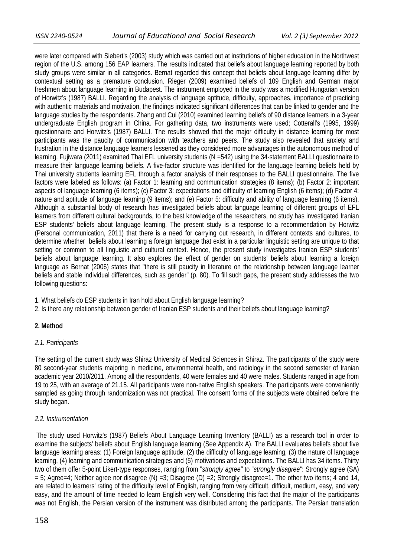were later compared with Siebert's (2003) study which was carried out at institutions of higher education in the Northwest region of the U.S. among 156 EAP learners. The results indicated that beliefs about language learning reported by both study groups were similar in all categories. Bernat regarded this concept that beliefs about language learning differ by contextual setting as a premature conclusion. Rieger (2009) examined beliefs of 109 English and German major freshmen about language learning in Budapest. The instrument employed in the study was a modified Hungarian version of Horwitz's (1987) BALLI. Regarding the analysis of language aptitude, difficulty, approaches, importance of practicing with authentic materials and motivation, the findings indicated significant differences that can be linked to gender and the language studies by the respondents. Zhang and Cui (2010) examined learning beliefs of 90 distance learners in a 3-year undergraduate English program in China. For gathering data, two instruments were used; Cotterall's (1995, 1999) questionnaire and Horwitz's (1987) BALLI. The results showed that the major difficulty in distance learning for most participants was the paucity of communication with teachers and peers. The study also revealed that anxiety and frustration in the distance language learners lessened as they considered more advantages in the autonomous method of learning. Fujiwara (2011) examined Thai EFL university students (N =542) using the 34-statement BALLI questionnaire to measure their language learning beliefs. A five-factor structure was identified for the language learning beliefs held by Thai university students learning EFL through a factor analysis of their responses to the BALLI questionnaire. The five factors were labeled as follows: (a) Factor 1: learning and communication strategies (8 items); (b) Factor 2: important aspects of language learning (6 items); (c) Factor 3: expectations and difficulty of learning English (6 items); (d) Factor 4: nature and aptitude of language learning (9 items); and (e) Factor 5: difficulty and ability of language learning (6 items). Although a substantial body of research has investigated beliefs about language learning of different groups of EFL learners from different cultural backgrounds, to the best knowledge of the researchers, no study has investigated Iranian ESP students' beliefs about language learning. The present study is a response to a recommendation by Horwitz (Personal communication, 2011) that there is a need for carrying out research, in different contexts and cultures, to determine whether beliefs about learning a foreign language that exist in a particular linguistic setting are unique to that setting or common to all linguistic and cultural context. Hence, the present study investigates Iranian ESP students' beliefs about language learning. It also explores the effect of gender on students' beliefs about learning a foreign language as Bernat (2006) states that "there is still paucity in literature on the relationship between language learner beliefs and stable individual differences, such as gender" (p. 80). To fill such gaps, the present study addresses the two following questions:

- 1. What beliefs do ESP students in Iran hold about English language learning?
- 2. Is there any relationship between gender of Iranian ESP students and their beliefs about language learning?

# **2. Method**

# *2.1. Participants*

The setting of the current study was Shiraz University of Medical Sciences in Shiraz. The participants of the study were 80 second-year students majoring in medicine, environmental health, and radiology in the second semester of Iranian academic year 2010/2011. Among all the respondents, 40 were females and 40 were males. Students ranged in age from 19 to 25, with an average of 21.15. All participants were non-native English speakers. The participants were conveniently sampled as going through randomization was not practical. The consent forms of the subjects were obtained before the study began.

# *2.2. Instrumentation*

 The study used Horwitz's (1987) Beliefs About Language Learning Inventory (BALLI) as a research tool in order to examine the subjects' beliefs about English language learning (See Appendix A). The BALLI evaluates beliefs about five language learning areas: (1) Foreign language aptitude, (2) the difficulty of language learning, (3) the nature of language learning, (4) learning and communication strategies and (5) motivations and expectations. The BALLI has 34 items. Thirty two of them offer 5-point Likert-type responses, ranging from "*strongly agree"* to "*strongly disagree"*: Strongly agree (SA)  $= 5$ ; Agree=4; Neither agree nor disagree (N) =3; Disagree (D) =2; Strongly disagree=1. The other two items; 4 and 14, are related to learners' rating of the difficulty level of English, ranging from very difficult, difficult, medium, easy, and very easy, and the amount of time needed to learn English very well. Considering this fact that the major of the participants was not English, the Persian version of the instrument was distributed among the participants. The Persian translation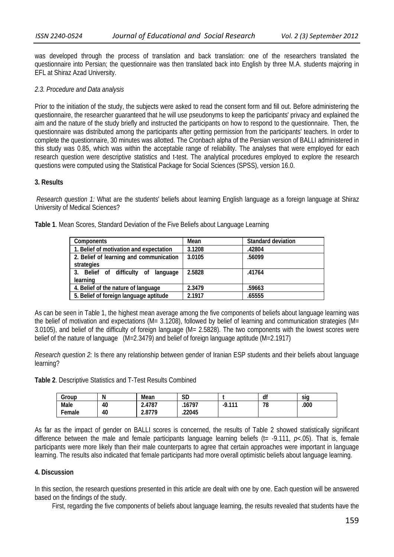was developed through the process of translation and back translation: one of the researchers translated the questionnaire into Persian; the questionnaire was then translated back into English by three M.A. students majoring in EFL at Shiraz Azad University.

### *2.3. Procedure and Data analysis*

Prior to the initiation of the study, the subjects were asked to read the consent form and fill out. Before administering the questionnaire, the researcher guaranteed that he will use pseudonyms to keep the participants' privacy and explained the aim and the nature of the study briefly and instructed the participants on how to respond to the questionnaire. Then, the questionnaire was distributed among the participants after getting permission from the participants' teachers. In order to complete the questionnaire, 30 minutes was allotted. The Cronbach alpha of the Persian version of BALLI administered in this study was 0.85, which was within the acceptable range of reliability. The analyses that were employed for each research question were descriptive statistics and t-test. The analytical procedures employed to explore the research questions were computed using the Statistical Package for Social Sciences (SPSS), version 16.0.

### **3. Results**

*Research question 1:* What are the students' beliefs about learning English language as a foreign language at Shiraz University of Medical Sciences?

| <b>Components</b>                       | Mean   | Standard deviation |  |
|-----------------------------------------|--------|--------------------|--|
| 1. Belief of motivation and expectation | 3.1208 | .42804             |  |
| 2. Belief of learning and communication | 3.0105 | .56099             |  |
| strategies                              |        |                    |  |
| 3. Belief of difficulty of language     | 2.5828 | .41764             |  |
| learning                                |        |                    |  |
| 4. Belief of the nature of language     | 2.3479 | .59663             |  |
| 5. Belief of foreign language aptitude  | 2.1917 | .65555             |  |

**Table 1**. Mean Scores, Standard Deviation of the Five Beliefs about Language Learning

As can be seen in Table 1, the highest mean average among the five components of beliefs about language learning was the belief of motivation and expectations (M= 3.1208), followed by belief of learning and communication strategies (M= 3.0105), and belief of the difficulty of foreign language (M= 2.5828). The two components with the lowest scores were belief of the nature of language (M=2.3479) and belief of foreign language aptitude (M=2.1917)

*Research question 2:* Is there any relationship between gender of Iranian ESP students and their beliefs about language learning?

**Table 2**. Descriptive Statistics and T-Test Results Combined

| Group  | Ν  | Mean   | сn<br>שכ |             | df | sia  |
|--------|----|--------|----------|-------------|----|------|
| Male   | 40 | 2.4787 | 16797    | -111<br>- Q | 78 | .000 |
| Female | 40 | 2.8779 | .22045   |             |    |      |

As far as the impact of gender on BALLI scores is concerned, the results of Table 2 showed statistically significant difference between the male and female participants language learning beliefs ( $t = -9.111$ ,  $p \times 0.05$ ). That is, female participants were more likely than their male counterparts to agree that certain approaches were important in language learning. The results also indicated that female participants had more overall optimistic beliefs about language learning.

# **4. Discussion**

In this section, the research questions presented in this article are dealt with one by one. Each question will be answered based on the findings of the study.

First, regarding the five components of beliefs about language learning, the results revealed that students have the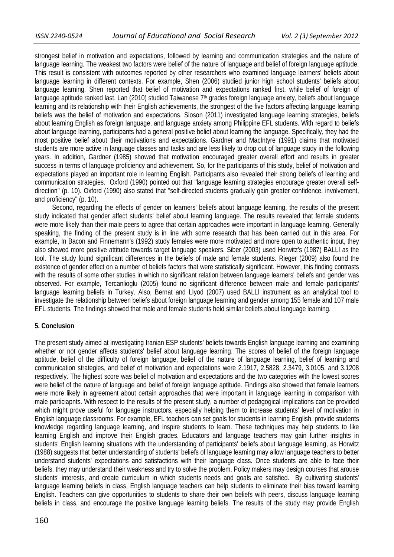strongest belief in motivation and expectations, followed by learning and communication strategies and the nature of language learning. The weakest two factors were belief of the nature of language and belief of foreign language aptitude. This result is consistent with outcomes reported by other researchers who examined language learners' beliefs about language learning in different contexts. For example, Shen (2006) studied junior high school students' beliefs about language learning. Shen reported that belief of motivation and expectations ranked first, while belief of foreign of language aptitude ranked last. Lan (2010) studied Taiwanese 7<sup>th</sup> grades foreign language anxiety, beliefs about language learning and its relationship with their English achievements, the strongest of the five factors affecting language learning beliefs was the belief of motivation and expectations. Sioson (2011) investigated language learning strategies, beliefs about learning English as foreign language, and language anxiety among Philippine EFL students. With regard to beliefs about language learning, participants had a general positive belief about learning the language. Specifically, they had the most positive belief about their motivations and expectations. Gardner and MacIntyre (1991) claims that motivated students are more active in language classes and tasks and are less likely to drop out of language study in the following years. In addition, Gardner (1985) showed that motivation encouraged greater overall effort and results in greater success in terms of language proficiency and achievement. So, for the participants of this study, belief of motivation and expectations played an important role in learning English. Participants also revealed their strong beliefs of learning and communication strategies. Oxford (1990) pointed out that "language learning strategies encourage greater overall selfdirection" (p. 10). Oxford (1990) also stated that "self-directed students gradually gain greater confidence, involvement, and proficiency" (p. 10).

Second, regarding the effects of gender on learners' beliefs about language learning, the results of the present study indicated that gender affect students' belief about learning language. The results revealed that female students were more likely than their male peers to agree that certain approaches were important in language learning. Generally speaking, the finding of the present study is in line with some research that has been carried out in this area. For example, In Bacon and Finnemann's (1992) study females were more motivated and more open to authentic input, they also showed more positive attitude towards target language speakers. Siber (2003) used Horwitz's (1987) BALLI as the tool. The study found significant differences in the beliefs of male and female students. Rieger (2009) also found the existence of gender effect on a number of beliefs factors that were statistically significant. However, this finding contrasts with the results of some other studies in which no significant relation between language learners' beliefs and gender was observed. For example, Tercanlioglu (2005) found no significant difference between male and female participants' language learning beliefs in Turkey. Also, Bernat and LIyod (2007) used BALLI instrument as an analytical tool to investigate the relationship between beliefs about foreign language learning and gender among 155 female and 107 male EFL students. The findings showed that male and female students held similar beliefs about language learning.

### **5. Conclusion**

The present study aimed at investigating Iranian ESP students' beliefs towards English language learning and examining whether or not gender affects students' belief about language learning. The scores of belief of the foreign language aptitude, belief of the difficulty of foreign language, belief of the nature of language learning, belief of learning and communication strategies, and belief of motivation and expectations were 2.1917, 2.5828, 2.3479, 3.0105, and 3.1208 respectively. The highest score was belief of motivation and expectations and the two categories with the lowest scores were belief of the nature of language and belief of foreign language aptitude. Findings also showed that female learners were more likely in agreement about certain approaches that were important in language learning in comparison with male particiapnts. With respect to the results of the present study, a number of pedagogical implications can be provided which might prove useful for language instructors, especially helping them to increase students' level of motivation in English language classrooms. For example, EFL teachers can set goals for students in learning English, provide students knowledge regarding language learning, and inspire students to learn. These techniques may help students to like learning English and improve their English grades. Educators and language teachers may gain further insights in students' English learning situations with the understanding of participants' beliefs about language learning, as Horwitz (1988) suggests that better understanding of students' beliefs of language learning may allow language teachers to better understand students' expectations and satisfactions with their language class. Once students are able to face their beliefs, they may understand their weakness and try to solve the problem. Policy makers may design courses that arouse students' interests, and create curriculum in which students needs and goals are satisfied. By cultivating students' language learning beliefs in class, English language teachers can help students to eliminate their bias toward learning English. Teachers can give opportunities to students to share their own beliefs with peers, discuss language learning beliefs in class, and encourage the positive language learning beliefs. The results of the study may provide English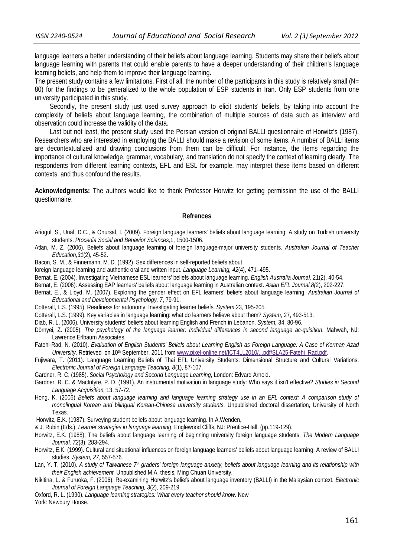language learners a better understanding of their beliefs about language learning. Students may share their beliefs about language learning with parents that could enable parents to have a deeper understanding of their children's language learning beliefs, and help them to improve their language learning.

The present study contains a few limitations. First of all, the number of the participants in this study is relatively small (N= 80) for the findings to be generalized to the whole population of ESP students in Iran. Only ESP students from one university participated in this study.

 Secondly, the present study just used survey approach to elicit students' beliefs, by taking into account the complexity of beliefs about language learning, the combination of multiple sources of data such as interview and observation could increase the validity of the data.

 Last but not least, the present study used the Persian version of original BALLI questionnaire of Horwitz's (1987). Researchers who are interested in employing the BALLI should make a revision of some items. A number of BALLI items are decontextualized and drawing conclusions from them can be difficult. For instance, the items regarding the importance of cultural knowledge, grammar, vocabulary, and translation do not specify the context of learning clearly. The respondents from different learning contexts, EFL and ESL for example, may interpret these items based on different contexts, and thus confound the results.

**Acknowledgments:** The authors would like to thank Professor Horwitz for getting permission the use of the BALLI questionnaire.

#### **Refrences**

- Ariogul, S., Unal, D.C., & Onursal, I. (2009). Foreign language learners' beliefs about language learning: A study on Turkish university students. *Procedia Social and Behavior Sciences,*1, 1500-1506.
- Atlan, M. Z. (2006). Beliefs about language learning of foreign language-major university students. *Australian Journal of Teacher Education,31*(2), 45-52.
- Bacon, S. M., & Finnemann, M. D. (1992). Sex differences in self-reported beliefs about
- foreign language learning and authentic oral and written input. *Language Learning, 42*(4), 471–495.
- Bernat, E. (2004). Investigating Vietnamese ESL learners' beliefs about language learning. *English Australia Journal,* 21(2), 40-54.
- Bernat, E. (2006). Assessing EAP learners' beliefs about language learning in Australian context. *Asian EFL Journal,8(*2), 202-227.
- Bernat, E., & Lloyd, M. (2007). Exploring the gender effect on EFL learners' beliefs about language learning. *Australian Journal of Educational and Developmental Psychology, 7*, 79-91.
- Cotterall, L.S. (1995). Readiness for autonomy: Investigating learner beliefs. *System,*23, 195-205.
- Cotterall, L.S. (1999). Key variables in language learning: what do learners believe about them? *System*, 27, 493-513.
- Diab, R. L. (2006). University students' beliefs about learning English and French in Lebanon. *System,* 34, 80-96.
- Dörnyei, Z. (2005). *The psychology of the language learner: Individual differences in second language ac-quisition*. Mahwah, NJ: Lawrence Erlbaum Associates.
- Fatehi-Rad, N. (2010). *Evaluation of English Students' Beliefs about Learning English as Foreign Language: A Case of Kerman Azad University*. Retrieved on 10<sup>th</sup> September, 2011 from www.pixel-online.net/ICT4LL2010/...pdf/SLA25-Fatehi\_Rad.pdf.
- Fujiwara, T. (2011). Language Learning Beliefs of Thai EFL University Students: Dimensional Structure and Cultural Variations. *Electronic Journal of Foreign Language Teaching, 8*(1), 87-107.
- Gardner, R. C. (1985). *Social Psychology and Second Language Learning***,** London: Edvard Arnold.
- Gardner, R. C. & MacIntyre, P. D. (1991). An instrumental motivation in language study: Who says it isn't effective? *Studies in Second Language Acquisition,* 13, 57-72.
- Hong, K. (2006) *Beliefs about language learning and language learning strategy use in an EFL context: A comparison study of monolingual Korean and bilingual Korean-Chinese university students.* Unpublished doctoral dissertation, University of North Texas.
- Horwitz, E.K. (1987). Surveying student beliefs about language learning. In A.Wenden,
- & J. Rubin (Eds.), *Learner strategies in language learning*. Englewood Cliffs, NJ: Prentice-Hall. (pp.119-129).
- Horwitz, E.K. (1988). The beliefs about language learning of beginning university foreign language students. *The Modern Language Journal, 72*(3), 283-294.
- Horwitz, E.K. (1999). Cultural and situational influences on foreign language learners' beliefs about language learning: A review of BALLI studies. *System, 27*, 557-576.
- Lan, Y. T. (2010). *A study of Taiwanese 7th graders' foreign language anxiety, beliefs about language learning and its relationship with their English achievement.* Unpublished M.A. thesis, Ming Chuan University.
- Nikitina, L. & Furuoka, F. (2006). Re-examining Horwitz's beliefs about language inventory (BALLI) in the Malaysian context. *Electronic Journal of Foreign Language Teaching, 3*(2), 209-219.

Oxford, R. L. (1990). *Language learning strategies: What every teacher should know*. New York: Newbury House.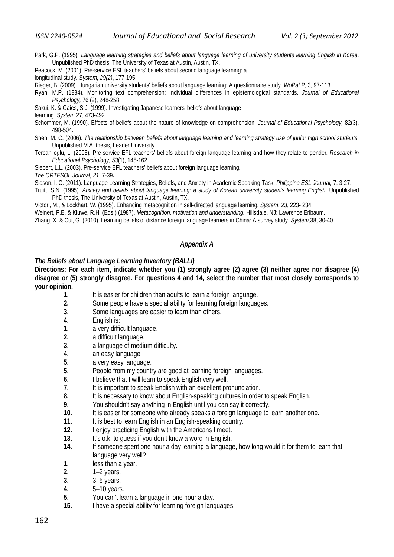- Park, G.P. (1995)*. Language learning strategies and beliefs about language learning of university students learning English in Korea*. Unpublished PhD thesis, The University of Texas at Austin, Austin, TX.
- Peacock, M. (2001). Pre-service ESL teachers' beliefs about second language learning: a

longitudinal study. *System, 29(2)*, 177-195.

- Rieger, B. (2009). Hungarian university students' beliefs about language learning: A questionnaire study. *WoPaLP*, 3, 97-113.
- Ryan, M.P. (1984). Monitoring text comprehension: Individual differences in epistemological standards. *Journal of Educational Psychology,* 76 (2), 248-258.

Sakui, K. & Gaies, S.J. (1999). Investigating Japanese learners' beliefs about language

learning. *System* 27, 473-492.

- Schommer, M. (1990). Effects of beliefs about the nature of knowledge on comprehension. *Journal of Educational Psychology,* 82(3), 498-504.
- Shen, M. C. (2006). *The relationship between beliefs about language learning and learning strategy use of junior high school students.* Unpublished M.A. thesis, Leader University.
- Tercanlioglu, L. (2005). Pre-service EFL teachers' beliefs about foreign language learning and how they relate to gender*. Research in Educational Psychology, 53*(1), 145-162.

Siebert, L.L. (2003). Pre-service EFL teachers' beliefs about foreign language learning*.* 

*The ORTESOL Journal, 21*, 7-39**.** 

- Sioson, I, C. (2011). Language Learning Strategies, Beliefs, and Anxiety in Academic Speaking Task, *Philippine ESL Journal,* 7, 3-27.
- Truitt, S.N. (1995). *Anxiety and beliefs about language learning: a study of Korean university students learning English.* Unpublished PhD thesis, The University of Texas at Austin, Austin, TX.

Victori, M., & Lockhart, W. (1995). Enhancing metacognition in self-directed language learning. *System, 23*, 223- 234

Weinert, F.E. & Kluwe, R.H. (Eds.) (1987). *Metacognition, motivation and understanding.* Hillsdale, NJ: Lawrence Erlbaum.

Zhang, X. & Cui, G. (2010). Learning beliefs of distance foreign language learners in China: A survey study. *System,*38, 30-40.

#### *Appendix A*

#### *The Beliefs about Language Learning Inventory (BALLI)*

**Directions: For each item, indicate whether you (1) strongly agree (2) agree (3) neither agree nor disagree (4) disagree or (5) strongly disagree. For questions 4 and 14, select the number that most closely corresponds to your opinion.** 

- **1.** It is easier for children than adults to learn a foreign language.
- **2.** Some people have a special ability for learning foreign languages.
- **3.** Some languages are easier to learn than others.
- **4.** English is:
- **1.** a very difficult language.
- **2.** a difficult language.
- **3.** a language of medium difficulty.
- **4.** an easy language.
- **5.** a very easy language.
- **5.** People from my country are good at learning foreign languages.
- **6.** I believe that I will learn to speak English very well.
- **7.** It is important to speak English with an excellent pronunciation.
- **8.** It is necessary to know about English-speaking cultures in order to speak English.
- **9.** You shouldn't say anything in English until you can say it correctly.
- **10.** It is easier for someone who already speaks a foreign language to learn another one.
- **11.** It is best to learn English in an English-speaking country.
- **12.** I enjoy practicing English with the Americans I meet.
- **13.** It's o.k. to guess if you don't know a word in English.
- **14.** If someone spent one hour a day learning a language, how long would it for them to learn that language very well?
- **1.** less than a year.
- **2.** 1–2 years.
- **3.** 3–5 years.
- **4.** 5–10 years.
- **5.** You can't learn a language in one hour a day.
- **15.** I have a special ability for learning foreign languages.